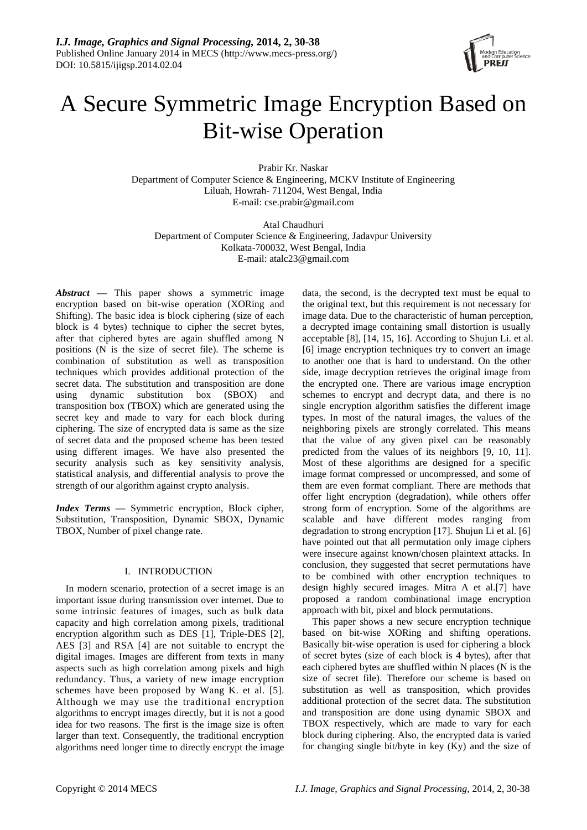

# A Secure Symmetric Image Encryption Based on Bit-wise Operation

Prabir Kr. Naskar Department of Computer Science & Engineering, MCKV Institute of Engineering Liluah, Howrah- 711204, West Bengal, India E-mail: cse.prabir@gmail.com

Atal Chaudhuri Department of Computer Science & Engineering, Jadavpur University Kolkata-700032, West Bengal, India E-mail: atalc23@gmail.com

*Abstract* **—** This paper shows a symmetric image encryption based on bit-wise operation (XORing and Shifting). The basic idea is block ciphering (size of each block is 4 bytes) technique to cipher the secret bytes, after that ciphered bytes are again shuffled among N positions (N is the size of secret file). The scheme is combination of substitution as well as transposition techniques which provides additional protection of the secret data. The substitution and transposition are done using dynamic substitution box (SBOX) and transposition box (TBOX) which are generated using the secret key and made to vary for each block during ciphering. The size of encrypted data is same as the size of secret data and the proposed scheme has been tested using different images. We have also presented the security analysis such as key sensitivity analysis, statistical analysis, and differential analysis to prove the strength of our algorithm against crypto analysis.

*Index Terms* **—** Symmetric encryption, Block cipher, Substitution, Transposition, Dynamic SBOX, Dynamic TBOX, Number of pixel change rate.

# I. INTRODUCTION

In modern scenario, protection of a secret image is an important issue during transmission over internet. Due to some intrinsic features of images, such as bulk data capacity and high correlation among pixels, traditional encryption algorithm such as DES [1], Triple-DES [2], AES [3] and RSA [4] are not suitable to encrypt the digital images. Images are different from texts in many aspects such as high correlation among pixels and high redundancy. Thus, a variety of new image encryption schemes have been proposed by Wang K. et al. [5]. Although we may use the traditional encryption algorithms to encrypt images directly, but it is not a good idea for two reasons. The first is the image size is often larger than text. Consequently, the traditional encryption algorithms need longer time to directly encrypt the image

data, the second, is the decrypted text must be equal to the original text, but this requirement is not necessary for image data. Due to the characteristic of human perception, a decrypted image containing small distortion is usually acceptable [8], [14, 15, 16]. According to Shujun Li. et al. [6] image encryption techniques try to convert an image to another one that is hard to understand. On the other side, image decryption retrieves the original image from the encrypted one. There are various image encryption schemes to encrypt and decrypt data, and there is no single encryption algorithm satisfies the different image types. In most of the natural images, the values of the neighboring pixels are strongly correlated. This means that the value of any given pixel can be reasonably predicted from the values of its neighbors [9, 10, 11]. Most of these algorithms are designed for a specific image format compressed or uncompressed, and some of them are even format compliant. There are methods that offer light encryption (degradation), while others offer strong form of encryption. Some of the algorithms are scalable and have different modes ranging from degradation to strong encryption [17]. Shujun Li et al. [6] have pointed out that all permutation only image ciphers were insecure against known/chosen plaintext attacks. In conclusion, they suggested that secret permutations have to be combined with other encryption techniques to design highly secured images. Mitra A et al.[7] have proposed a random combinational image encryption approach with bit, pixel and block permutations.

This paper shows a new secure encryption technique based on bit-wise XORing and shifting operations. Basically bit-wise operation is used for ciphering a block of secret bytes (size of each block is 4 bytes), after that each ciphered bytes are shuffled within N places (N is the size of secret file). Therefore our scheme is based on substitution as well as transposition, which provides additional protection of the secret data. The substitution and transposition are done using dynamic SBOX and TBOX respectively, which are made to vary for each block during ciphering. Also, the encrypted data is varied for changing single bit/byte in key (Ky) and the size of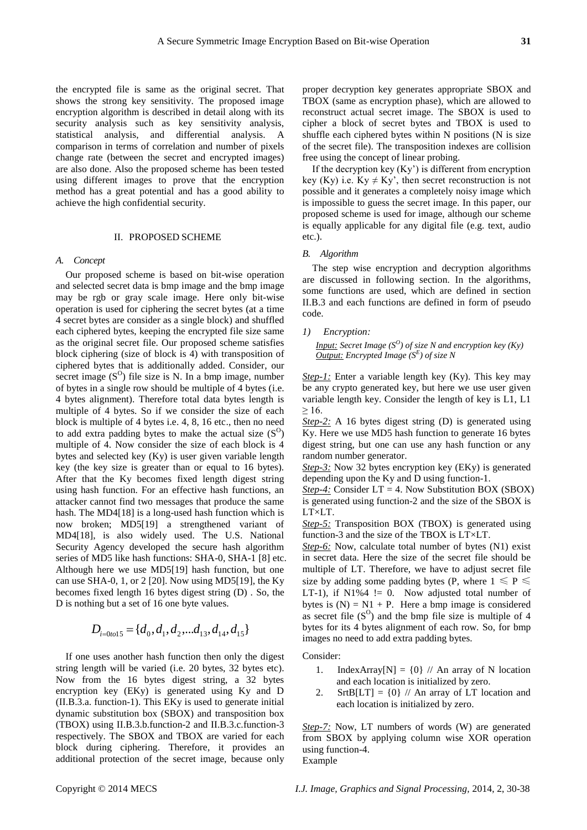the encrypted file is same as the original secret. That shows the strong key sensitivity. The proposed image encryption algorithm is described in detail along with its security analysis such as key sensitivity analysis, statistical analysis, and differential analysis. A comparison in terms of correlation and number of pixels change rate (between the secret and encrypted images) are also done. Also the proposed scheme has been tested using different images to prove that the encryption method has a great potential and has a good ability to achieve the high confidential security.

### II. PROPOSED SCHEME

#### *A. Concept*

Our proposed scheme is based on bit-wise operation and selected secret data is bmp image and the bmp image may be rgb or gray scale image. Here only bit-wise operation is used for ciphering the secret bytes (at a time 4 secret bytes are consider as a single block) and shuffled each ciphered bytes, keeping the encrypted file size same as the original secret file. Our proposed scheme satisfies block ciphering (size of block is 4) with transposition of ciphered bytes that is additionally added. Consider, our secret image  $(S^O)$  file size is N. In a bmp image, number of bytes in a single row should be multiple of 4 bytes (i.e. 4 bytes alignment). Therefore total data bytes length is multiple of 4 bytes. So if we consider the size of each block is multiple of 4 bytes i.e. 4, 8, 16 etc., then no need to add extra padding bytes to make the actual size  $(S^O)$ multiple of 4. Now consider the size of each block is 4 bytes and selected key (Ky) is user given variable length key (the key size is greater than or equal to 16 bytes). After that the Ky becomes fixed length digest string using hash function. For an effective hash functions, an attacker cannot find two messages that produce the same hash. The MD4[18] is a long-used hash function which is now broken; MD5[19] a strengthened variant of MD4[18], is also widely used. The U.S. National Security Agency developed the secure hash algorithm series of MD5 like hash functions: SHA-0, SHA-1 [8] etc. Although here we use MD5[19] hash function, but one can use SHA-0, 1, or  $2$  [20]. Now using MD5[19], the Ky becomes fixed length 16 bytes digest string (D) . So, the D is nothing but a set of 16 one byte values.

$$
D_{i=0 to 15} = \{d_0, d_1, d_2, \dots d_{13}, d_{14}, d_{15}\}
$$

If one uses another hash function then only the digest string length will be varied (i.e. 20 bytes, 32 bytes etc). Now from the 16 bytes digest string, a 32 bytes encryption key (EKy) is generated using Ky and D (II.B.3.a. function-1). This EKy is used to generate initial dynamic substitution box (SBOX) and transposition box (TBOX) using II.B.3.b.function-2 and II.B.3.c.function-3 respectively. The SBOX and TBOX are varied for each block during ciphering. Therefore, it provides an additional protection of the secret image, because only

proper decryption key generates appropriate SBOX and TBOX (same as encryption phase), which are allowed to reconstruct actual secret image. The SBOX is used to cipher a block of secret bytes and TBOX is used to shuffle each ciphered bytes within N positions (N is size of the secret file). The transposition indexes are collision free using the concept of linear probing.

If the decryption key  $(Ky')$  is different from encryption key (Ky) i.e. Ky  $\neq$  Ky', then secret reconstruction is not possible and it generates a completely noisy image which is impossible to guess the secret image. In this paper, our proposed scheme is used for image, although our scheme is equally applicable for any digital file (e.g. text, audio etc.).

#### *B. Algorithm*

The step wise encryption and decryption algorithms are discussed in following section. In the algorithms, some functions are used, which are defined in section II.B.3 and each functions are defined in form of pseudo code.

# *1) Encryption:*

*Input: Secret Image (S<sup>O</sup> ) of size N and encryption key (Ky) Output: Encrypted Image (S<sup>E</sup> ) of size N*

*Step-1:* Enter a variable length key (Ky). This key may be any crypto generated key, but here we use user given variable length key. Consider the length of key is L1, L1  $\geq$  16.

*Step-2:* A 16 bytes digest string (D) is generated using Ky. Here we use MD5 hash function to generate 16 bytes digest string, but one can use any hash function or any random number generator.

*Step-3:* Now 32 bytes encryption key (EKy) is generated depending upon the Ky and D using function-1.

*Step-4:* Consider LT = 4. Now Substitution BOX (SBOX) is generated using function-2 and the size of the SBOX is LT×LT.

**Step-5:** Transposition BOX (TBOX) is generated using function-3 and the size of the TBOX is  $LT \times LT$ .

*Step-6:* Now, calculate total number of bytes (N1) exist in secret data. Here the size of the secret file should be multiple of LT. Therefore, we have to adjust secret file size by adding some padding bytes (P, where  $1 \leq P \leq$ LT-1), if  $N1\%4$  != 0. Now adjusted total number of bytes is  $(N) = N1 + P$ . Here a bmp image is considered as secret file  $(S^O)$  and the bmp file size is multiple of 4 bytes for its 4 bytes alignment of each row. So, for bmp images no need to add extra padding bytes.

Consider:

- 1. IndexArray[N] =  $\{0\}$  // An array of N location and each location is initialized by zero.
- 2. SrtB[LT] =  $\{0\}$  // An array of LT location and each location is initialized by zero.

*Step-7:* Now, LT numbers of words (W) are generated from SBOX by applying column wise XOR operation using function-4. Example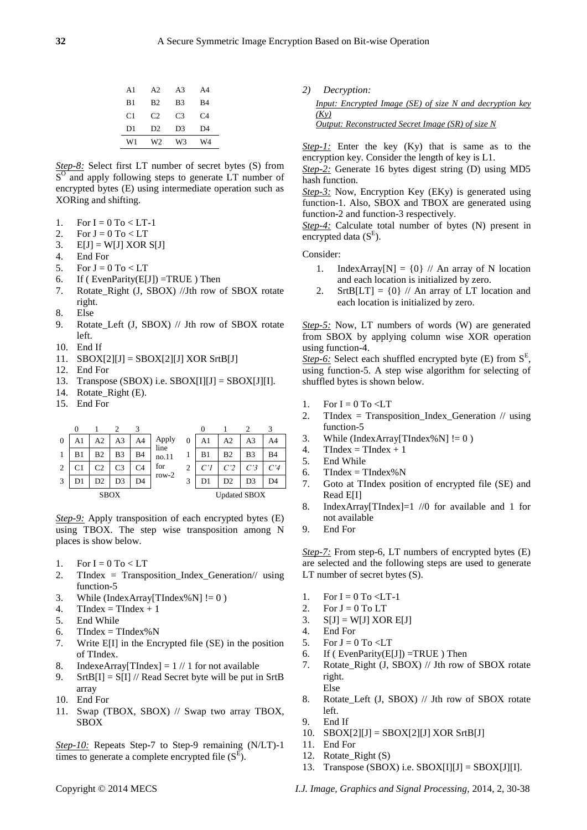| W1             | W2             | W3             | W4             |
|----------------|----------------|----------------|----------------|
| D <sub>1</sub> | D2             | D <sub>3</sub> | D4             |
| C1             | C2             | C <sub>3</sub> | C <sub>4</sub> |
| B <sub>1</sub> | B <sub>2</sub> | B <sub>3</sub> | R4             |
| A <sub>1</sub> | A2             | A <sub>3</sub> | A4             |

*Step-8:* Select first LT number of secret bytes (S) from S<sup>O</sup> and apply following steps to generate LT number of encrypted bytes (E) using intermediate operation such as XORing and shifting.

- 1. For  $I = 0$  To  $\lt L$ T-1
- 2. For  $J = 0$  To  $< LT$
- 3.  $E[J] = W[J] \text{ XOR } S[J]$
- 4. End For
- 5. For  $J = 0$  To  $\lt L T$
- 6. If (  $EvenParity(E[J]) = TRUE$  ) Then
- 7. Rotate\_Right (J, SBOX) //Jth row of SBOX rotate right.
- 8. Else
- 9. Rotate\_Left (J, SBOX) // Jth row of SBOX rotate left.
- 10. End If
- 11.  $SBOX[2][J] = SBOX[2][J] XOR Str[B[J]]$
- 12. End For
- 13. Transpose (SBOX) i.e.  $SBOX[I][J] = SBOX[J][I]$ .
- 14. Rotate\_Right (E).
- 15. End For

|                | 0  |    |                | 3  |               |                     |    |                |                |           |
|----------------|----|----|----------------|----|---------------|---------------------|----|----------------|----------------|-----------|
| $\theta$       |    | A2 | A <sub>3</sub> | A4 | Apply<br>line | 0                   | A1 | A <sub>2</sub> | A3             | A4        |
|                | B1 | B2 | B3             | B4 | no.11         |                     | B1 | B <sub>2</sub> | B <sub>3</sub> | <b>B4</b> |
| $\overline{2}$ |    | C2 | C3             | C4 | for           | 2                   |    | C <sub>2</sub> | C'3            | C'4       |
| 3              |    | D2 | D3             | D4 | row- $2$      |                     | D1 | D2             | D <sub>3</sub> | D4        |
| <b>SBOX</b>    |    |    |                |    |               | <b>Updated SBOX</b> |    |                |                |           |

**Step-9:** Apply transposition of each encrypted bytes (E) using TBOX. The step wise transposition among N places is show below.

- 1. For  $I = 0$  To  $\lt L T$
- 2. TIndex = Transposition\_Index\_Generation// using function-5
- 3. While (IndexArray[TIndex%N]  $!= 0$ )
- 4. TIndex = TIndex + 1
- 5. End While
- 6. TIndex = TIndex % N
- 7. Write E[I] in the Encrypted file (SE) in the position of TIndex.
- 8. IndexeArray[TIndex] =  $1 // 1$  for not available
- 9. SrtB[I] = S[I] // Read Secret byte will be put in SrtB array
- 10. End For
- 11. Swap (TBOX, SBOX) // Swap two array TBOX, SBOX

*Step-10:* Repeats Step-7 to Step-9 remaining (N/LT)-1 times to generate a complete encrypted file  $(S^E)$ .

*2) Decryption:*

| <i>Input: Encrypted Image (SE) of size N and decryption key</i> |  |  |  |
|-----------------------------------------------------------------|--|--|--|
| (Kv)                                                            |  |  |  |
| Output: Reconstructed Secret Image (SR) of size N               |  |  |  |

*Step-1:* Enter the key (Ky) that is same as to the encryption key. Consider the length of key is L1.

*Step-2:* Generate 16 bytes digest string (D) using MD5 hash function.

*Step-3:* Now, Encryption Key (EKy) is generated using function-1. Also, SBOX and TBOX are generated using function-2 and function-3 respectively.

*Step-4:* Calculate total number of bytes (N) present in encrypted data  $(S^E)$ .

Consider:

- 1. IndexArray[N] =  $\{0\}$  // An array of N location and each location is initialized by zero.
- 2. SrtB[LT] =  $\{0\}$  // An array of LT location and each location is initialized by zero.

*Step-5:* Now, LT numbers of words (W) are generated from SBOX by applying column wise XOR operation using function-4.

Step-6: Select each shuffled encrypted byte (E) from  $S<sup>E</sup>$ , using function-5. A step wise algorithm for selecting of shuffled bytes is shown below.

- 1. For  $I = 0$  To  $\lt L T$
- 2. TIndex = Transposition\_Index\_Generation // using function-5
- 3. While (IndexArray[TIndex%N]  $!= 0$ )
- 4. TIndex = TIndex + 1
- 5. End While
- 6. TIndex = TIndex% $N$
- 7. Goto at TIndex position of encrypted file (SE) and Read E[I]
- 8. IndexArray[TIndex]=1 //0 for available and 1 for not available
- 9. End For

*Step-7:* From step-6, LT numbers of encrypted bytes (E) are selected and the following steps are used to generate LT number of secret bytes (S).

- 1. For  $I = 0$  To  $\leq L$ T-1
- 2. For  $J = 0$  To LT
- 3.  $S[J] = W[J] XOR E[J]$
- 4. End For
- 5. For  $J = 0$  To  $\lt L T$
- 6. If ( EvenParity( $E[J]$ ) =TRUE ) Then
- 7. Rotate\_Right (J, SBOX) // Jth row of SBOX rotate right. Else
- 8. Rotate\_Left (J, SBOX) // Jth row of SBOX rotate left.
- 9. End If
- 10.  $SBOX[2][J] = SBOX[2][J] XOR Str[5][J]$
- 11. End For
- 12. Rotate\_Right (S)
- 13. Transpose (SBOX) i.e.  $SBOX[I][J] = SBOX[J][I]$ .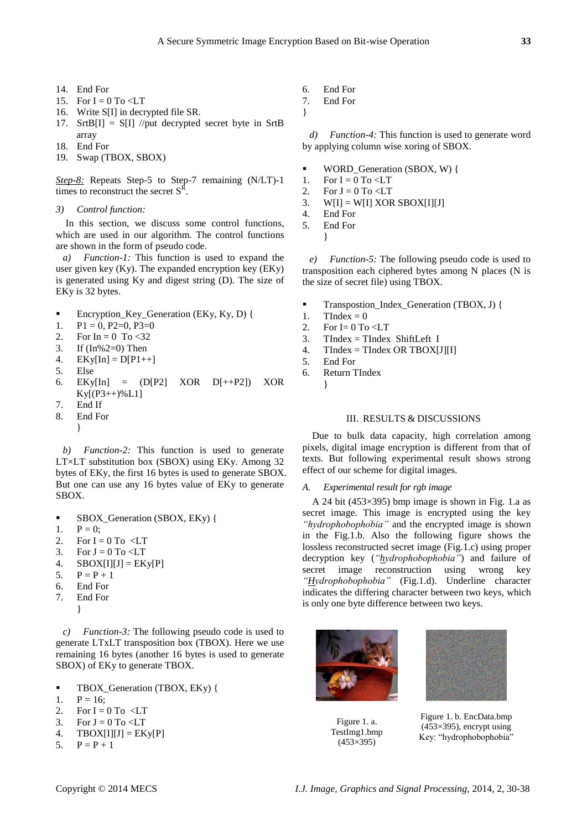- 14. End For
- 15. For  $I = 0$  To  $\lt L T$
- 16. Write S[I] in decrypted file SR.
- 17. SrtB[I] = S[I] //put decrypted secret byte in SrtB array
- 18. End For
- 19. Swap (TBOX, SBOX)

*Step-8:* Repeats Step-5 to Step-7 remaining (N/LT)-1 times to reconstruct the secret  $S<sup>R</sup>$ .

*3) Control function:*

In this section, we discuss some control functions, which are used in our algorithm. The control functions are shown in the form of pseudo code.

*a) Function-1:* This function is used to expand the user given key (Ky). The expanded encryption key (EKy) is generated using Ky and digest string (D). The size of EKy is 32 bytes.

- Encryption\_Key\_Generation (EKy, Ky, D) {
- 1.  $P1 = 0$ ,  $P2=0$ ,  $P3=0$
- 2. For  $In = 0$  To <32
- 3. If (In%2=0) Then
- 4.  $EKy[In] = D[P1++]$
- 5. Else
- 6. EKy[In] = (D[P2] XOR D[++P2]) XOR  $Ky[(P3++)\%L1]$
- 7. End If
- 8. End For

}

*b) Function-2:* This function is used to generate  $LT \times LT$  substitution box (SBOX) using EKy. Among 32 bytes of EKy, the first 16 bytes is used to generate SBOX. But one can use any 16 bytes value of EKy to generate SBOX.

- SBOX\_Generation (SBOX, EKy) {
- 1.  $P = 0$ ;
- 2. For  $I = 0$  To  $\leq LT$
- 3. For  $J = 0$  To  $\lt L T$
- 4.  $SBOX[I][J] = EKy[P]$
- 5.  $P = P + 1$
- 6. End For
- 7. End For
	- }

*c) Function-3:* The following pseudo code is used to generate LTxLT transposition box (TBOX). Here we use remaining 16 bytes (another 16 bytes is used to generate SBOX) of EKy to generate TBOX.

- TBOX\_Generation (TBOX, EKy) {
- 1.  $P = 16$ :
- 2. For  $I = 0$  To  $\leq LT$
- 3. For  $J = 0$  To  $\lt L T$
- 4. TBOX[I][J] =  $EKy[P]$
- 5.  $P = P + 1$
- 6. End For
- 7. End For
- }

*d) Function-4:* This function is used to generate word by applying column wise xoring of SBOX.

- WORD Generation (SBOX, W) {
- 1. For  $I = 0$  To  $\lt L T$
- 2. For  $J = 0$  To <LT<br>3. WIII = WIII XOF
- $W[I] = W[I] XOR SBOX[I][J]$
- 4. End For
- 5. End For
	- }

*e) Function-5:* The following pseudo code is used to transposition each ciphered bytes among N places (N is the size of secret file) using TBOX.

- Transpostion\_Index\_Generation (TBOX, J) {
- 1. TIndex =  $0$
- 2. For  $I=0$  To  $\leq LT$
- 3. TIndex = TIndex ShiftLeft I<br>4. TIndex = TIndex OR TBOXI
- $TIndex = TIndex OR TBOX[J][I]$
- 5. End For
- 6. Return TIndex
	- }

# III. RESULTS & DISCUSSIONS

Due to bulk data capacity, high correlation among pixels, digital image encryption is different from that of texts. But following experimental result shows strong effect of our scheme for digital images.

#### *A. Experimental result for rgb image*

A 24 bit (453×395) bmp image is shown in Fig. 1.a as secret image. This image is encrypted using the key *"hydrophobophobia"* and the encrypted image is shown in the Fig.1.b. Also the following figure shows the lossless reconstructed secret image (Fig.1.c) using proper decryption key (*"hydrophobophobia"*) and failure of secret image reconstruction using wrong key *"Hydrophobophobia"* (Fig.1.d). Underline character indicates the differing character between two keys, which is only one byte difference between two keys.



Figure 1. a. TestImg1.bmp (453×395)



Figure 1. b. EncData.bmp  $(453 \times 395)$ , encrypt using Key: "hydrophobophobia"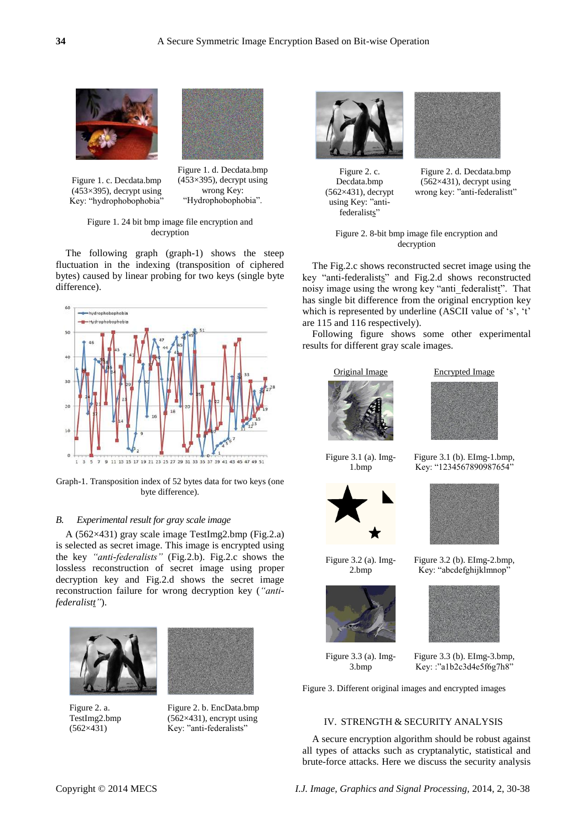



Figure 1. c. Decdata.bmp  $(453\times395)$ , decrypt using Key: "hydrophobophobia"

Figure 1. d. Decdata.bmp  $(453\times395)$ , decrypt using wrong Key: "Hydrophobophobia".

## Figure 1. 24 bit bmp image file encryption and decryption

The following graph (graph-1) shows the steep fluctuation in the indexing (transposition of ciphered bytes) caused by linear probing for two keys (single byte difference).



Graph-1. Transposition index of 52 bytes data for two keys (one byte difference).

## *B. Experimental result for gray scale image*

A (562×431) gray scale image TestImg2.bmp (Fig.2.a) is selected as secret image. This image is encrypted using the key *"anti-federalists"* (Fig.2.b). Fig.2.c shows the lossless reconstruction of secret image using proper decryption key and Fig.2.d shows the secret image reconstruction failure for wrong decryption key (*"antifederalistt"*).



Figure 2. a. TestImg2.bmp (562×431)



Figure 2. b. EncData.bmp (562×431), encrypt using Key: "anti-federalists"



Figure 2. c. Decdata.bmp (562×431), decrypt using Key: "antifederalists"



Figure 2. d. Decdata.bmp (562×431), decrypt using wrong key: "anti-federalistt"

Figure 2. 8-bit bmp image file encryption and decryption

The Fig.2.c shows reconstructed secret image using the key "anti-federalists" and Fig.2.d shows reconstructed noisy image using the wrong key "anti\_federalistt". That has single bit difference from the original encryption key which is represented by underline (ASCII value of  $'s$ ,  $'t$ are 115 and 116 respectively).

Following figure shows some other experimental results for different gray scale images.



Figure 3.1 (a). Img-



Figure 3.2 (a). Img-2.bmp

1.bmp





Figure 3.1 (b). EImg-1.bmp, Key: "1234567890987654"



Figure 3.2 (b). EImg-2.bmp, Key: "abcdefghijklmnop"



Figure 3.3 (a). Img-3.bmp

Figure 3.3 (b). EImg-3.bmp, Key: :"a1b2c3d4e5f6g7h8"

Figure 3. Different original images and encrypted images

# IV. STRENGTH & SECURITY ANALYSIS

A secure encryption algorithm should be robust against all types of attacks such as cryptanalytic, statistical and brute-force attacks. Here we discuss the security analysis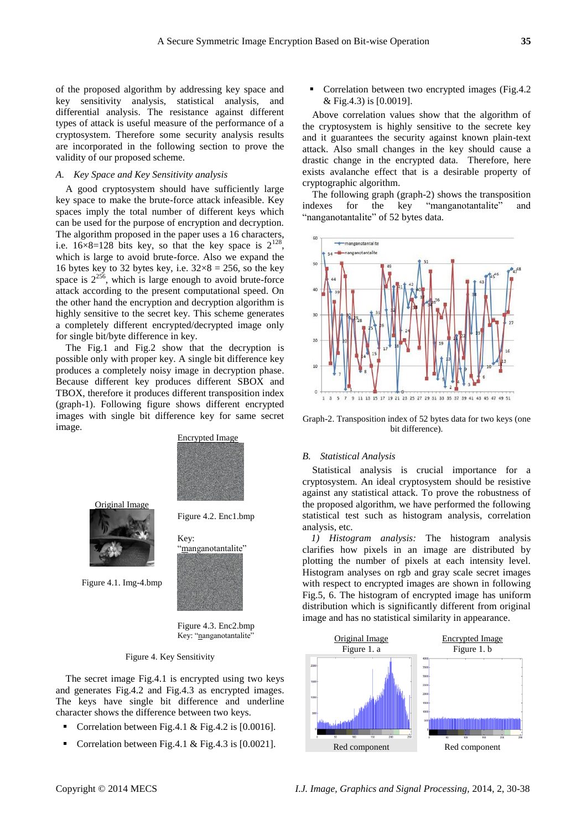of the proposed algorithm by addressing key space and key sensitivity analysis, statistical analysis, and differential analysis. The resistance against different types of attack is useful measure of the performance of a cryptosystem. Therefore some security analysis results are incorporated in the following section to prove the validity of our proposed scheme.

### *A. Key Space and Key Sensitivity analysis*

A good cryptosystem should have sufficiently large key space to make the brute-force attack infeasible. Key spaces imply the total number of different keys which can be used for the purpose of encryption and decryption. The algorithm proposed in the paper uses a 16 characters, i.e.  $16 \times 8 = 128$  bits key, so that the key space is  $2^{128}$ , which is large to avoid brute-force. Also we expand the 16 bytes key to 32 bytes key, i.e.  $32 \times 8 = 256$ , so the key space is  $2^{256}$ , which is large enough to avoid brute-force attack according to the present computational speed. On the other hand the encryption and decryption algorithm is highly sensitive to the secret key. This scheme generates a completely different encrypted/decrypted image only for single bit/byte difference in key.

The Fig.1 and Fig.2 show that the decryption is possible only with proper key. A single bit difference key produces a completely noisy image in decryption phase. Because different key produces different SBOX and TBOX, therefore it produces different transposition index (graph-1). Following figure shows different encrypted images with single bit difference key for same secret image.



Figure 4.2. Enc1.bmp

"manganotantalite"

Key:



Figure 4.1. Img-4.bmp

Figure 4.3. Enc2.bmp Key: "nanganotantalite"

#### Figure 4. Key Sensitivity

The secret image Fig.4.1 is encrypted using two keys and generates Fig.4.2 and Fig.4.3 as encrypted images. The keys have single bit difference and underline character shows the difference between two keys.

- Correlation between Fig.4.1 & Fig.4.2 is [0.0016].
- Correlation between Fig.4.1 & Fig.4.3 is [0.0021].

 Correlation between two encrypted images (Fig.4.2 & Fig.4.3) is [0.0019].

Above correlation values show that the algorithm of the cryptosystem is highly sensitive to the secrete key and it guarantees the security against known plain-text attack. Also small changes in the key should cause a drastic change in the encrypted data. Therefore, here exists avalanche effect that is a desirable property of cryptographic algorithm.

The following graph (graph-2) shows the transposition indexes for the key "manganotantalite" and "nanganotantalite" of 52 bytes data.



Graph-2. Transposition index of 52 bytes data for two keys (one bit difference).

## *B. Statistical Analysis*

Statistical analysis is crucial importance for a cryptosystem. An ideal cryptosystem should be resistive against any statistical attack. To prove the robustness of the proposed algorithm, we have performed the following statistical test such as histogram analysis, correlation analysis, etc.

*1) Histogram analysis:* The histogram analysis clarifies how pixels in an image are distributed by plotting the number of pixels at each intensity level. Histogram analyses on rgb and gray scale secret images with respect to encrypted images are shown in following Fig.5, 6. The histogram of encrypted image has uniform distribution which is significantly different from original image and has no statistical similarity in appearance.

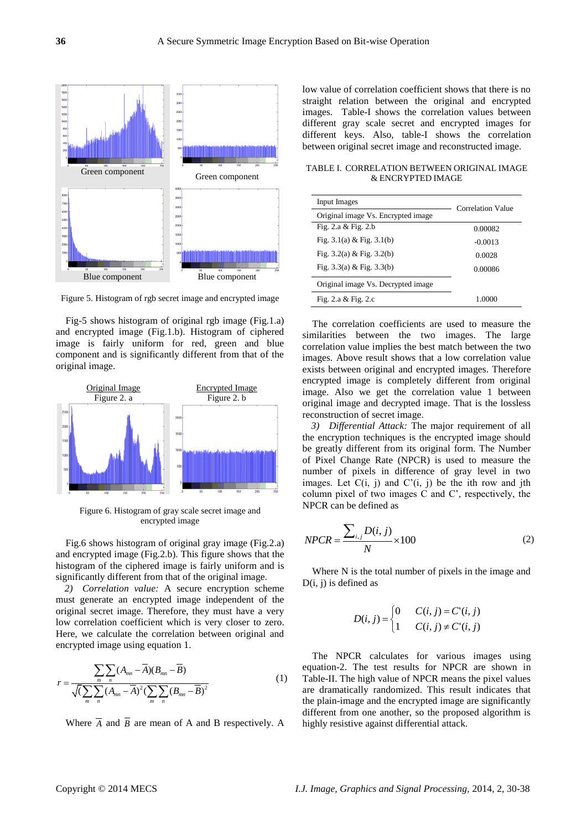

Figure 5. Histogram of rgb secret image and encrypted image

Fig-5 shows histogram of original rgb image (Fig.1.a) and encrypted image (Fig.1.b). Histogram of ciphered image is fairly uniform for red, green and blue component and is significantly different from that of the original image.



Figure 6. Histogram of gray scale secret image and encrypted image

Fig.6 shows histogram of original gray image (Fig.2.a) and encrypted image (Fig.2.b). This figure shows that the histogram of the ciphered image is fairly uniform and is significantly different from that of the original image.

*2) Correlation value:* A secure encryption scheme must generate an encrypted image independent of the original secret image. Therefore, they must have a very low correlation coefficient which is very closer to zero. Here, we calculate the correlation between original and

encrypted image using equation 1.  
\n
$$
r = \frac{\sum_{m} \sum_{n} (A_{mn} - \overline{A})(B_{mn} - \overline{B})}{\sqrt{\left(\sum_{m} \sum_{n} (A_{mn} - \overline{A})^{2} \left(\sum_{m} \sum_{n} (B_{mn} - \overline{B})^{2}\right)\right)}} (1)
$$

Where  $\overline{A}$  and  $\overline{B}$  are mean of A and B respectively. A

low value of correlation coefficient shows that there is no straight relation between the original and encrypted images. Table-I shows the correlation values between different gray scale secret and encrypted images for different keys. Also, table-I shows the correlation between original secret image and reconstructed image.

TABLE I. CORRELATION BETWEEN ORIGINAL IMAGE & ENCRYPTED IMAGE

| Input Images                       | Correlation Value |  |
|------------------------------------|-------------------|--|
| Original image Vs. Encrypted image |                   |  |
| Fig. $2.a & Fig. 2.b$              | 0.00082           |  |
| Fig. $3.1(a)$ & Fig. $3.1(b)$      | $-0.0013$         |  |
| Fig. $3.2(a)$ & Fig. $3.2(b)$      | 0.0028            |  |
| Fig. $3.3(a)$ & Fig. $3.3(b)$      | 0.00086           |  |
| Original image Vs. Decrypted image |                   |  |
| Fig. 2.a $&$ Fig. 2.c              | 1.0000            |  |

The correlation coefficients are used to measure the similarities between the two images. The large correlation value implies the best match between the two images. Above result shows that a low correlation value exists between original and encrypted images. Therefore encrypted image is completely different from original image. Also we get the correlation value 1 between original image and decrypted image. That is the lossless reconstruction of secret image.

*3) Differential Attack:* The major requirement of all the encryption techniques is the encrypted image should be greatly different from its original form. The Number of Pixel Change Rate (NPCR) is used to measure the number of pixels in difference of gray level in two images. Let  $C(i, j)$  and  $C'(i, j)$  be the ith row and jth column pixel of two images C and C", respectively, the NPCR can be defined as

$$
NPCR = \frac{\sum_{i,j} D(i,j)}{N} \times 100
$$
 (2)

Where N is the total number of pixels in the image and  $D(i, j)$  is defined as

$$
D(i, j) = \begin{cases} 0 & C(i, j) = C'(i, j) \\ 1 & C(i, j) \neq C'(i, j) \end{cases}
$$

The NPCR calculates for various images using equation-2. The test results for NPCR are shown in Table-II. The high value of NPCR means the pixel values are dramatically randomized. This result indicates that the plain-image and the encrypted image are significantly different from one another, so the proposed algorithm is highly resistive against differential attack.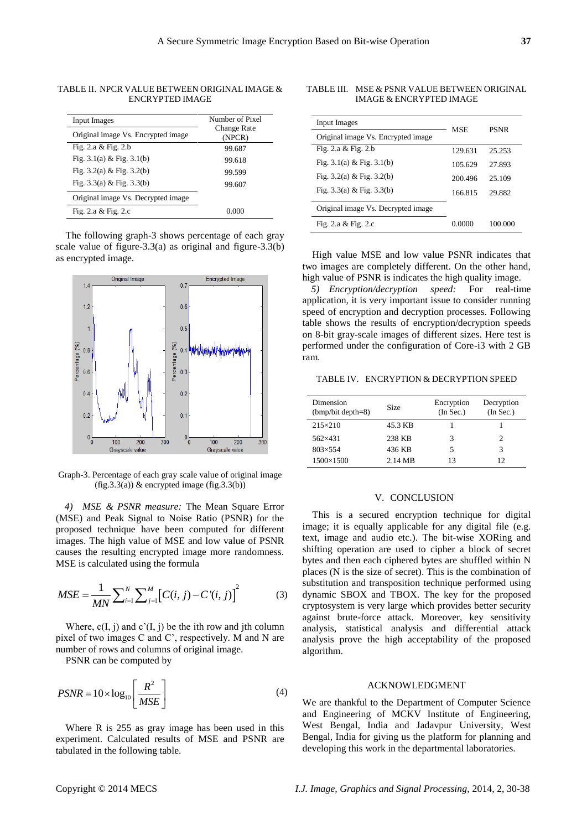| Input Images                       | Number of Pixel              |
|------------------------------------|------------------------------|
| Original image Vs. Encrypted image | <b>Change Rate</b><br>(NPCR) |
| Fig. 2.a $&$ Fig. 2.b              | 99.687                       |
| Fig. $3.1(a)$ & Fig. $3.1(b)$      | 99.618                       |
| Fig. $3.2(a)$ & Fig. $3.2(b)$      | 99.599                       |
| Fig. $3.3(a)$ & Fig. $3.3(b)$      | 99.607                       |

TABLE II. NPCR VALUE BETWEEN ORIGINAL IMAGE & ENCRYPTED IMAGE

The following graph-3 shows percentage of each gray scale value of figure-3.3(a) as original and figure-3.3(b) as encrypted image.

Fig. 2.a & Fig. 2.c 0.000



Graph-3. Percentage of each gray scale value of original image  $(fig.3.3(a))$  & encrypted image  $(fig.3.3(b))$ 

*4) MSE & PSNR measure:* The Mean Square Error (MSE) and Peak Signal to Noise Ratio (PSNR) for the proposed technique have been computed for different images. The high value of MSE and low value of PSNR causes the resulting encrypted image more randomness. MSE is calculated using the formula

MSE is calculated using the formula  
\n
$$
MSE = \frac{1}{MN} \sum_{i=1}^{N} \sum_{j=1}^{M} [C(i, j) - C'(i, j)]^{2}
$$
\n(3)

Where,  $c(I, j)$  and  $c'(I, j)$  be the ith row and jth column pixel of two images C and C", respectively. M and N are number of rows and columns of original image.

PSNR can be computed by

$$
PSNR = 10 \times \log_{10} \left[ \frac{R^2}{MSE} \right] \tag{4}
$$

Where R is 255 as gray image has been used in this experiment. Calculated results of MSE and PSNR are tabulated in the following table.

TABLE III. MSE & PSNR VALUE BETWEEN ORIGINAL IMAGE & ENCRYPTED IMAGE

| Input Images                       | <b>MSE</b> | <b>PSNR</b> |  |
|------------------------------------|------------|-------------|--|
| Original image Vs. Encrypted image |            |             |  |
| Fig. $2.a & Fig. 2.b$              | 129.631    | 25.253      |  |
| Fig. $3.1(a)$ & Fig. $3.1(b)$      | 105.629    | 27.893      |  |
| Fig. $3.2(a)$ & Fig. $3.2(b)$      | 200.496    | 25.109      |  |
| Fig. $3.3(a)$ & Fig. $3.3(b)$      | 166.815    | 29.882      |  |
| Original image Vs. Decrypted image |            |             |  |
| Fig. 2.a $&$ Fig. 2.c              | 0.0000     | 100.000     |  |

High value MSE and low value PSNR indicates that two images are completely different. On the other hand, high value of PSNR is indicates the high quality image.

*5) Encryption/decryption speed:* For real-time application, it is very important issue to consider running speed of encryption and decryption processes. Following table shows the results of encryption/decryption speeds on 8-bit gray-scale images of different sizes. Here test is performed under the configuration of Core-i3 with 2 GB ram.

TABLE IV. ENCRYPTION & DECRYPTION SPEED

| Dimension<br>$(bmp/bit depth=8)$ | Size              | Encryption<br>(In Sec.) | Decryption<br>(In Sec.) |
|----------------------------------|-------------------|-------------------------|-------------------------|
| $215 \times 210$                 | 45.3 KB           |                         |                         |
| $562 \times 431$                 | 238 KB            |                         | 2                       |
| $803 \times 554$                 | 436 KB            |                         | 3                       |
| 1500×1500                        | $2.14 \text{ MB}$ | 13                      | 12                      |

#### V. CONCLUSION

This is a secured encryption technique for digital image; it is equally applicable for any digital file (e.g. text, image and audio etc.). The bit-wise XORing and shifting operation are used to cipher a block of secret bytes and then each ciphered bytes are shuffled within N places (N is the size of secret). This is the combination of substitution and transposition technique performed using dynamic SBOX and TBOX. The key for the proposed cryptosystem is very large which provides better security against brute-force attack. Moreover, key sensitivity analysis, statistical analysis and differential attack analysis prove the high acceptability of the proposed algorithm.

#### ACKNOWLEDGMENT

We are thankful to the Department of Computer Science and Engineering of MCKV Institute of Engineering, West Bengal, India and Jadavpur University, West Bengal, India for giving us the platform for planning and developing this work in the departmental laboratories.